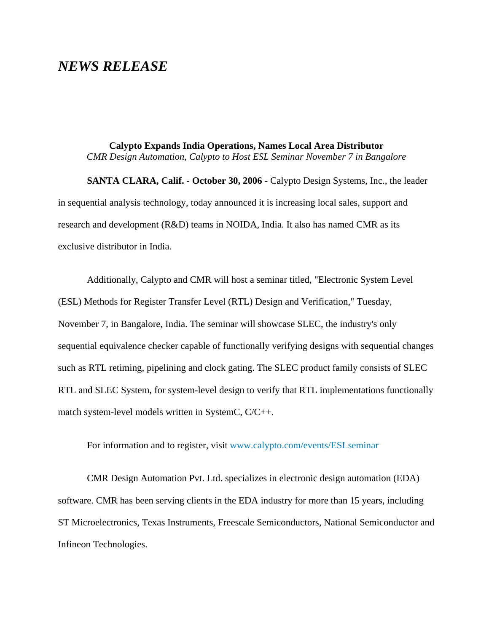## *NEWS RELEASE*

**Calypto Expands India Operations, Names Local Area Distributor** *CMR Design Automation, Calypto to Host ESL Seminar November 7 in Bangalore*

**SANTA CLARA, Calif. - October 30, 2006 -** Calypto Design Systems, Inc., the leader in sequential analysis technology, today announced it is increasing local sales, support and research and development (R&D) teams in NOIDA, India. It also has named CMR as its exclusive distributor in India.

Additionally, Calypto and CMR will host a seminar titled, "Electronic System Level (ESL) Methods for Register Transfer Level (RTL) Design and Verification," Tuesday, November 7, in Bangalore, India. The seminar will showcase SLEC, the industry's only sequential equivalence checker capable of functionally verifying designs with sequential changes such as RTL retiming, pipelining and clock gating. The SLEC product family consists of SLEC RTL and SLEC System, for system-level design to verify that RTL implementations functionally match system-level models written in SystemC, C/C++.

For information and to register, visi[t www.calypto.com/events/ESLseminar](http://www.calypto.com/events/ESLseminar)

CMR Design Automation Pvt. Ltd. specializes in electronic design automation (EDA) software. CMR has been serving clients in the EDA industry for more than 15 years, including ST Microelectronics, Texas Instruments, Freescale Semiconductors, National Semiconductor and Infineon Technologies.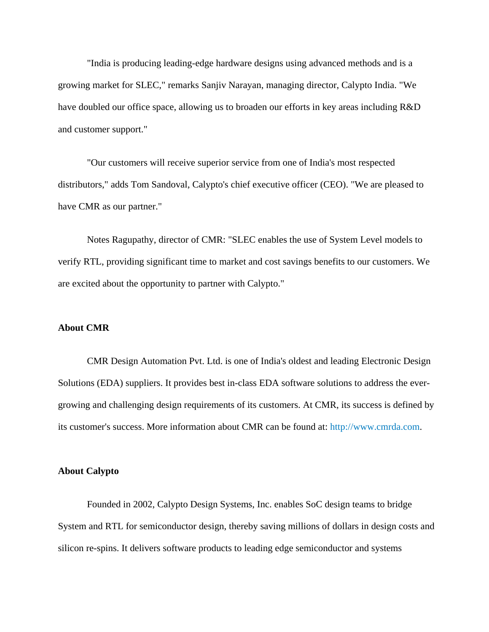"India is producing leading-edge hardware designs using advanced methods and is a growing market for SLEC," remarks Sanjiv Narayan, managing director, Calypto India. "We have doubled our office space, allowing us to broaden our efforts in key areas including R&D and customer support."

"Our customers will receive superior service from one of India's most respected distributors," adds Tom Sandoval, Calypto's chief executive officer (CEO). "We are pleased to have CMR as our partner."

Notes Ragupathy, director of CMR: "SLEC enables the use of System Level models to verify RTL, providing significant time to market and cost savings benefits to our customers. We are excited about the opportunity to partner with Calypto."

## **About CMR**

CMR Design Automation Pvt. Ltd. is one of India's oldest and leading Electronic Design Solutions (EDA) suppliers. It provides best in-class EDA software solutions to address the evergrowing and challenging design requirements of its customers. At CMR, its success is defined by its customer's success. More information about CMR can be found at[: http://www.cmrda.com](http://www.cmrda.com/).

## **About Calypto**

Founded in 2002, Calypto Design Systems, Inc. enables SoC design teams to bridge System and RTL for semiconductor design, thereby saving millions of dollars in design costs and silicon re-spins. It delivers software products to leading edge semiconductor and systems